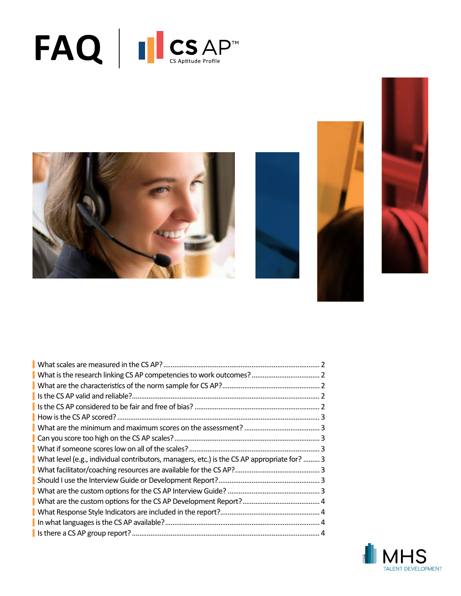









| What level (e.g., individual contributors, managers, etc.) is the CS AP appropriate for?  3 |  |
|---------------------------------------------------------------------------------------------|--|
|                                                                                             |  |
|                                                                                             |  |
|                                                                                             |  |
|                                                                                             |  |
|                                                                                             |  |
|                                                                                             |  |
|                                                                                             |  |

![](_page_0_Picture_6.jpeg)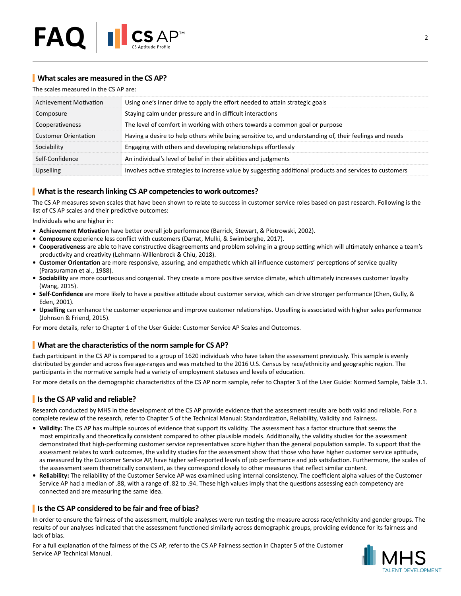# <span id="page-1-0"></span>**What scales are measured in the CS AP?**

The scales measured in the CS AP are:

| Achievement Motivation      | Using one's inner drive to apply the effort needed to attain strategic goals                             |
|-----------------------------|----------------------------------------------------------------------------------------------------------|
| Composure                   | Staying calm under pressure and in difficult interactions                                                |
| Cooperativeness             | The level of comfort in working with others towards a common goal or purpose                             |
| <b>Customer Orientation</b> | Having a desire to help others while being sensitive to, and understanding of, their feelings and needs  |
| Sociability                 | Engaging with others and developing relationships effortlessly                                           |
| Self-Confidence             | An individual's level of belief in their abilities and judgments                                         |
| <b>Upselling</b>            | Involves active strategies to increase value by suggesting additional products and services to customers |

# <span id="page-1-1"></span>**What is the research linking CS AP competencies to work outcomes?**

The CS AP measures seven scales that have been shown to relate to success in customer service roles based on past research. Following is the list of CS AP scales and their predictive outcomes:

Individuals who are higher in:

- **• Achievement Motivation** have better overall job performance (Barrick, Stewart, & Piotrowski, 2002).
- **• Composure** experience less conflict with customers (Darrat, Mulki, & Swimberghe, 2017).
- **• Cooperativeness** are able to have constructive disagreements and problem solving in a group setting which will ultimately enhance a team's productivity and creativity (Lehmann-Willenbrock & Chiu, 2018).
- **• Customer Orientation** are more responsive, assuring, and empathetic which all influence customers' perceptions of service quality (Parasuraman et al., 1988).
- **• Sociability** are more courteous and congenial. They create a more positive service climate, which ultimately increases customer loyalty (Wang, 2015).
- **• Self-Confidence** are more likely to have a positive attitude about customer service, which can drive stronger performance (Chen, Gully, & Eden, 2001).
- **• Upselling** can enhance the customer experience and improve customer relationships. Upselling is associated with higher sales performance (Johnson & Friend, 2015).

For more details, refer to Chapter 1 of the User Guide: Customer Service AP Scales and Outcomes.

## <span id="page-1-2"></span>**What are the characteristics of the norm sample for CS AP?**

Each participant in the CS AP is compared to a group of 1620 individuals who have taken the assessment previously. This sample is evenly distributed by gender and across five age-ranges and was matched to the 2016 U.S. Census by race/ethnicity and geographic region. The participants in the normative sample had a variety of employment statuses and levels of education.

For more details on the demographic characteristics of the CS AP norm sample, refer to Chapter 3 of the User Guide: Normed Sample, Table 3.1.

# <span id="page-1-3"></span>**Is the CS AP valid and reliable?**

Research conducted by MHS in the development of the CS AP provide evidence that the assessment results are both valid and reliable. For a complete review of the research, refer to Chapter 5 of the Technical Manual: Standardization, Reliability, Validity and Fairness.

- **• Validity:** The CS AP has multiple sources of evidence that support its validity. The assessment has a factor structure that seems the most empirically and theoretically consistent compared to other plausible models. Additionally, the validity studies for the assessment demonstrated that high-performing customer service representatives score higher than the general population sample. To support that the assessment relates to work outcomes, the validity studies for the assessment show that those who have higher customer service aptitude, as measured by the Customer Service AP, have higher self-reported levels of job performance and job satisfaction. Furthermore, the scales of the assessment seem theoretically consistent, as they correspond closely to other measures that reflect similar content.
- **• Reliability:** The reliability of the Customer Service AP was examined using internal consistency. The coefficient alpha values of the Customer Service AP had a median of .88, with a range of .82 to .94. These high values imply that the questions assessing each competency are connected and are measuring the same idea.

## <span id="page-1-4"></span>**Is the CS AP considered to be fair and free of bias?**

In order to ensure the fairness of the assessment, multiple analyses were run testing the measure across race/ethnicity and gender groups. The results of our analyses indicated that the assessment functioned similarly across demographic groups, providing evidence for its fairness and lack of bias.

For a full explanation of the fairness of the CS AP, refer to the CS AP Fairness section in Chapter 5 of the Customer Service AP Technical Manual.

![](_page_1_Picture_26.jpeg)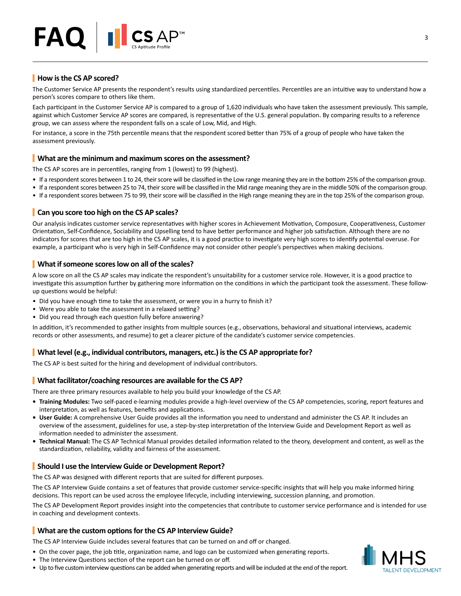![](_page_2_Picture_0.jpeg)

# <span id="page-2-0"></span>**How is the CS AP scored?**

The Customer Service AP presents the respondent's results using standardized percentiles. Percentiles are an intuitive way to understand how a person's scores compare to others like them.

Each participant in the Customer Service AP is compared to a group of 1,620 individuals who have taken the assessment previously. This sample, against which Customer Service AP scores are compared, is representative of the U.S. general population. By comparing results to a reference group, we can assess where the respondent falls on a scale of Low, Mid, and High.

For instance, a score in the 75th percentile means that the respondent scored better than 75% of a group of people who have taken the assessment previously.

#### <span id="page-2-1"></span>**What are the minimum and maximum scores on the assessment?**

The CS AP scores are in percentiles, ranging from 1 (lowest) to 99 (highest).

- If a respondent scores between 1 to 24, their score will be classified in the Low range meaning they are in the bottom 25% of the comparison group.
- If a respondent scores between 25 to 74, their score will be classified in the Mid range meaning they are in the middle 50% of the comparison group.
- If a respondent scores between 75 to 99, their score will be classified in the High range meaning they are in the top 25% of the comparison group.

### <span id="page-2-2"></span>**Can you score too high on the CS AP scales?**

Our analysis indicates customer service representatives with higher scores in Achievement Motivation, Composure, Cooperativeness, Customer Orientation, Self-Confidence, Sociability and Upselling tend to have better performance and higher job satisfaction. Although there are no indicators for scores that are too high in the CS AP scales, it is a good practice to investigate very high scores to identify potential overuse. For example, a participant who is very high in Self-Confidence may not consider other people's perspectives when making decisions.

#### <span id="page-2-3"></span>**What if someone scores low on all of the scales?**

A low score on all the CS AP scales may indicate the respondent's unsuitability for a customer service role. However, it is a good practice to investigate this assumption further by gathering more information on the conditions in which the participant took the assessment. These followup questions would be helpful:

- Did you have enough time to take the assessment, or were you in a hurry to finish it?
- Were you able to take the assessment in a relaxed setting?
- Did you read through each question fully before answering?

In addition, it's recommended to gather insights from multiple sources (e.g., observations, behavioral and situational interviews, academic records or other assessments, and resume) to get a clearer picture of the candidate's customer service competencies.

#### <span id="page-2-4"></span>**What level (e.g., individual contributors, managers, etc.) is the CS AP appropriate for?**

The CS AP is best suited for the hiring and development of individual contributors.

#### <span id="page-2-5"></span>**What facilitator/coaching resources are available for the CS AP?**

There are three primary resources available to help you build your knowledge of the CS AP.

- **• Training Modules:** Two self-paced e-learning modules provide a high-level overview of the CS AP competencies, scoring, report features and interpretation, as well as features, benefits and applications.
- **• User Guide:** A comprehensive User Guide provides all the information you need to understand and administer the CS AP. It includes an overview of the assessment, guidelines for use, a step-by-step interpretation of the Interview Guide and Development Report as well as information needed to administer the assessment.
- **• Technical Manual:** The CS AP Technical Manual provides detailed information related to the theory, development and content, as well as the standardization, reliability, validity and fairness of the assessment.

#### <span id="page-2-6"></span>**Should I use the Interview Guide or Development Report?**

The CS AP was designed with different reports that are suited for different purposes.

The CS AP Interview Guide contains a set of features that provide customer service-specific insights that will help you make informed hiring decisions. This report can be used across the employee lifecycle, including interviewing, succession planning, and promotion.

The CS AP Development Report provides insight into the competencies that contribute to customer service performance and is intended for use in coaching and development contexts.

#### <span id="page-2-7"></span>**What are the custom options for the CS AP Interview Guide?**

The CS AP Interview Guide includes several features that can be turned on and off or changed.

- On the cover page, the job title, organization name, and logo can be customized when generating reports.
- The Interview Questions section of the report can be turned on or off.
- Up to five custom interview questions can be added when generating reports and will be included at the end of the report.

![](_page_2_Picture_34.jpeg)